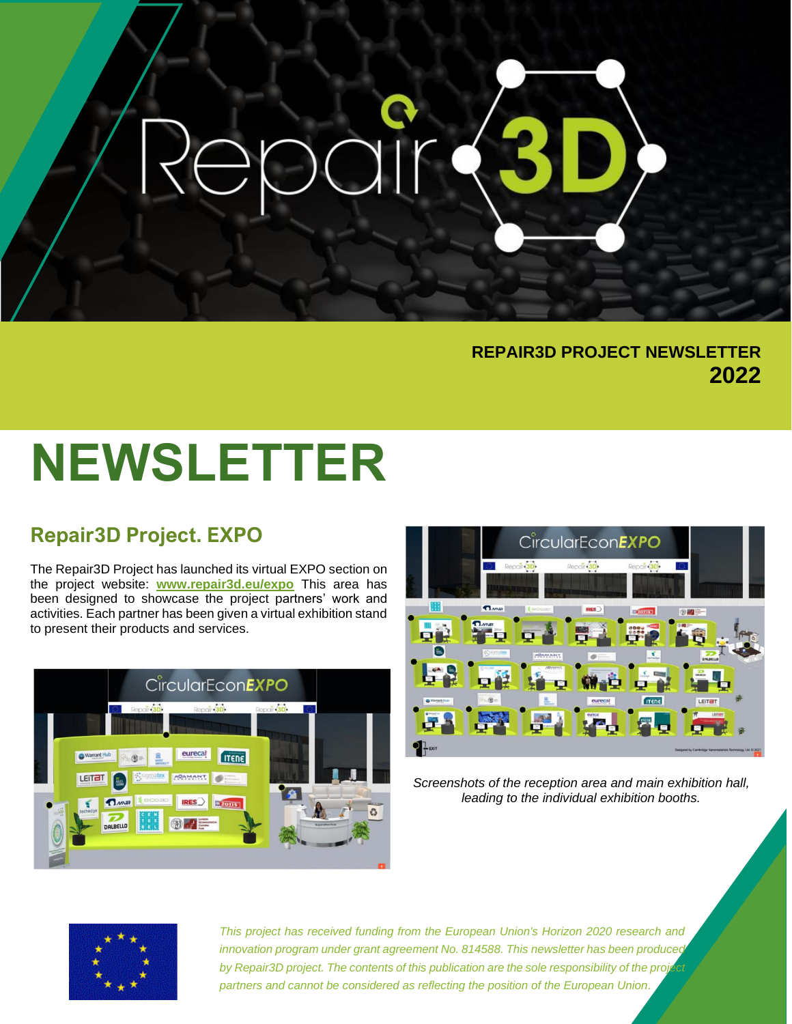### **REPAIR3D PROJECT NEWSLETTER 2022**

# **NEWSLETTER**

### **Repair3D Project. EXPO**

The Repair3D Project has launched its virtual EXPO section on the project website: **[www.repair3d.eu/expo](http://www.repair3d.eu/expo)** This area has been designed to showcase the project partners' work and activities. Each partner has been given a virtual exhibition stand to present their products and services.





*Screenshots of the reception area and main exhibition hall, leading to the individual exhibition booths.*



*This project has received funding from the European Union's Horizon 2020 research and innovation program under grant agreement No. 814588. This newsletter has been produced*  by Repair3D project. The contents of this publication are the sole responsibility of the proj *partners and cannot be considered as reflecting the position of the European Union.*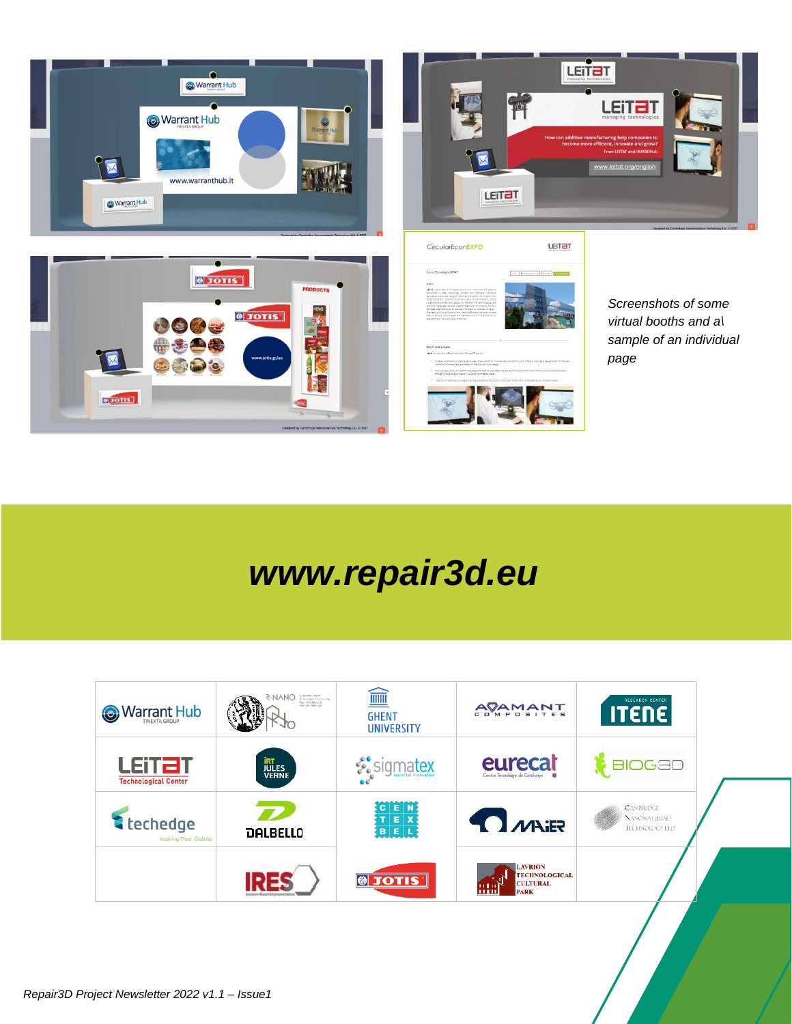

## *www.repair3d.eu*

| Warrant Hub                                 | istatore) una en<br>Albertolo I, Maricolain<br>Harvel Adades II<br>Harvelo vieninge<br>R-NANO | $\widehat{\mathbb{H}}$<br><b>GHENT</b><br><b>UNIVERSITY</b> | AVAMANT                                                                      | <b>RESEARCH CENTER</b><br><b>ITENE</b>                     |  |
|---------------------------------------------|-----------------------------------------------------------------------------------------------|-------------------------------------------------------------|------------------------------------------------------------------------------|------------------------------------------------------------|--|
| LEITET<br><b>Technological Center</b>       | <b>IRT<br/>JULES</b><br>VERNE                                                                 | <b>Sigmatex</b>                                             | eurecat<br>Centre Tecnològic de Catalunya                                    | <b>BIOG3D</b>                                              |  |
| techedge<br><b>Inspiring Trust Globally</b> | <b>DALBELLO</b>                                                                               | $C$ $E$ $N$<br>$T$ $E$ $X$<br>BEL                           | <b>TIMALER</b>                                                               | <b>CAMBRIDGE</b><br><b>NANOMALIRIALS</b><br>TECHNOLOGY LTD |  |
|                                             |                                                                                               | $\bigcirc$<br><b>JOTIS</b>                                  | <b>LAVRION</b><br><b>TECHNOLOGICAL</b><br><b>CULTURAL</b><br><b>PARK</b><br> |                                                            |  |